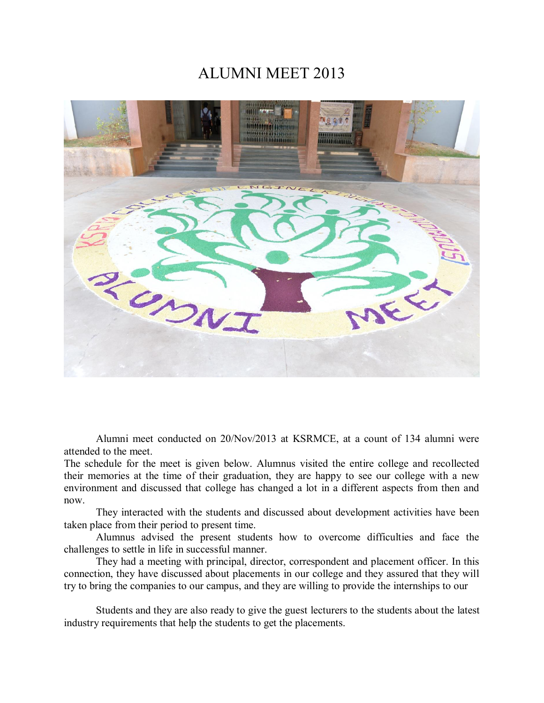## ALUMNI MEET 2013



Alumni meet conducted on 20/Nov/2013 at KSRMCE, at a count of 134 alumni were attended to the meet.

The schedule for the meet is given below. Alumnus visited the entire college and recollected their memories at the time of their graduation, they are happy to see our college with a new environment and discussed that college has changed a lot in a different aspects from then and now.

They interacted with the students and discussed about development activities have been taken place from their period to present time.

Alumnus advised the present students how to overcome difficulties and face the challenges to settle in life in successful manner.

They had a meeting with principal, director, correspondent and placement officer. In this connection, they have discussed about placements in our college and they assured that they will try to bring the companies to our campus, and they are willing to provide the internships to our

Students and they are also ready to give the guest lecturers to the students about the latest industry requirements that help the students to get the placements.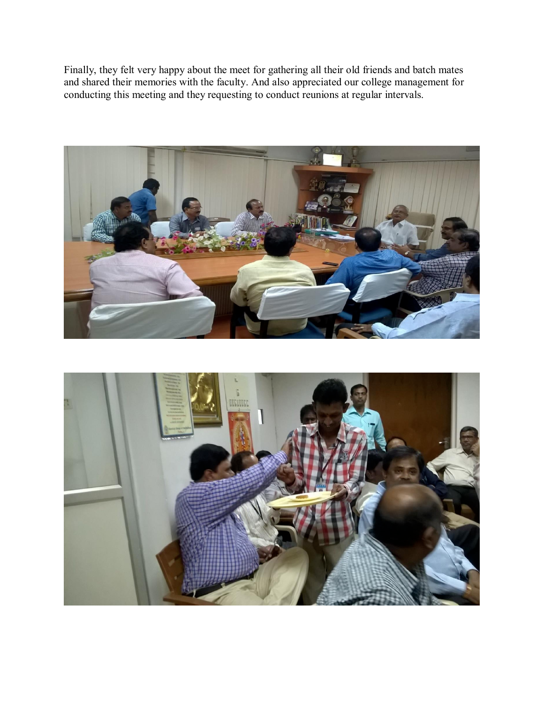Finally, they felt very happy about the meet for gathering all their old friends and batch mates and shared their memories with the faculty. And also appreciated our college management for conducting this meeting and they requesting to conduct reunions at regular intervals.